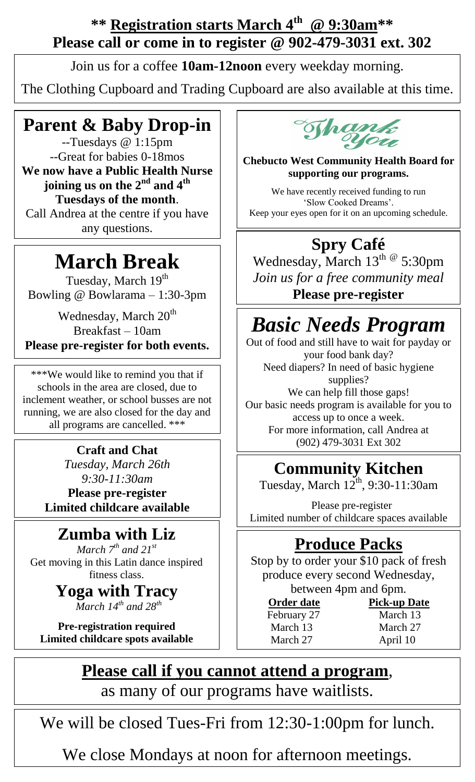#### **\*\* Registration starts March 4 th @ 9:30am\*\* Please call or come in to register @ 902-479-3031 ext. 302**

Join us for a coffee **10am-12noon** every weekday morning.

The Clothing Cupboard and Trading Cupboard are also available at this time.

#### **Parent & Baby Drop-in**

--Tuesdays @ 1:15pm --Great for babies 0-18mos **We now have a Public Health Nurse joining us on the 2nd and 4th Tuesdays of the month**. Call Andrea at the centre if you have any questions.

# **March Break**

Tuesday, March 19<sup>th</sup> Bowling @ Bowlarama – 1:30-3pm

Wednesday, March 20<sup>th</sup> Breakfast – 10am **Please pre-register for both events.**

\*\*\*We would like to remind you that if schools in the area are closed, due to inclement weather, or school busses are not running, we are also closed for the day and all programs are cancelled. \*\*\*

> **Craft and Chat** *Tuesday, March 26th 9:30-11:30am* **Please pre-register Limited childcare available**

## **Zumba with Liz**

*March 7 th and 21st* Get moving in this Latin dance inspired fitness class.

> **Yoga with Tracy** *March 14th and 28th*

**Pre-registration required Limited childcare spots available**



**Chebucto West Community Health Board for supporting our programs.**

We have recently received funding to run 'Slow Cooked Dreams'. Keep your eyes open for it on an upcoming schedule.

## **Spry Café**

Wednesday, March  $13^{\text{th}}$  @ 5:30pm *Join us for a free community meal* **Please pre-register**

# *Basic Needs Program*

Out of food and still have to wait for payday or your food bank day? Need diapers? In need of basic hygiene supplies? We can help fill those gaps! Our basic needs program is available for you to access up to once a week. For more information, call Andrea at (902) 479-3031 Ext 302

# **Community Kitchen**

Tuesday, March  $12^{th}$ , 9:30-11:30am

 Please pre-register Limited number of childcare spaces available

## **Produce Packs**

Stop by to order your \$10 pack of fresh produce every second Wednesday, between 4pm and 6pm.

**Order date** Pick-up Date February 27 March 13 March 27 April 10

March 13 March 27

## **Please call if you cannot attend a program**,

as many of our programs have waitlists.

We will be closed Tues-Fri from 12:30-1:00pm for lunch.

We close Mondays at noon for afternoon meetings.